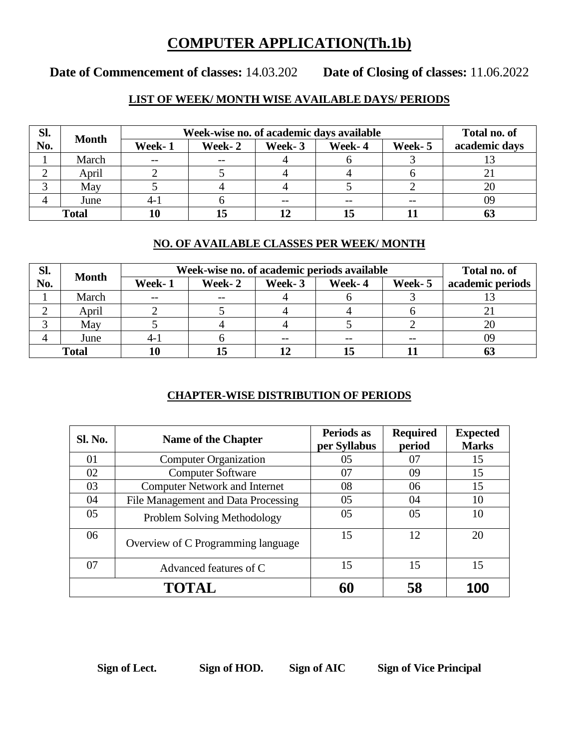## **COMPUTER APPLICATION(Th.1b)**

# **Date of Commencement of classes:** 14.03.202 **Date of Closing of classes:** 11.06.2022

## **LIST OF WEEK/ MONTH WISE AVAILABLE DAYS/ PERIODS**

| Sl.          | <b>Month</b> | Week-wise no. of academic days available | Total no. of |        |        |         |               |
|--------------|--------------|------------------------------------------|--------------|--------|--------|---------|---------------|
| No.          |              | Week-1                                   | Week-2       | Week-3 | Week-4 | Week- 5 | academic days |
|              | March        | $- -$                                    | $- -$        |        |        |         |               |
| ∠            | April        |                                          |              |        |        |         |               |
|              | May          |                                          |              |        |        |         |               |
|              | June         | 4-1                                      |              | $- -$  |        | $- -$   | 09            |
| <b>Total</b> |              |                                          | 15           |        |        |         |               |

#### **NO. OF AVAILABLE CLASSES PER WEEK/ MONTH**

| Sl.          | <b>Month</b> | Week-wise no. of academic periods available | Total no. of |        |        |         |                  |
|--------------|--------------|---------------------------------------------|--------------|--------|--------|---------|------------------|
| No.          |              | Week-1                                      | Week-2       | Week-3 | Week-4 | Week- 5 | academic periods |
|              | March        | $- -$                                       | $- -$        |        |        |         |                  |
|              | April        |                                             |              |        |        |         |                  |
|              | May          |                                             |              |        |        |         | 20               |
|              | June         | $4 - 1$                                     |              |        |        | $- -$   | 09               |
| <b>Total</b> |              |                                             |              |        |        |         |                  |

### **CHAPTER-WISE DISTRIBUTION OF PERIODS**

| <b>Sl. No.</b> | Name of the Chapter                  | Periods as<br>per Syllabus | <b>Required</b><br>period | <b>Expected</b><br><b>Marks</b> |
|----------------|--------------------------------------|----------------------------|---------------------------|---------------------------------|
| 01             | <b>Computer Organization</b>         | 05                         | 07                        | 15                              |
| 02             | <b>Computer Software</b>             | 07                         | 09                        | 15                              |
| 03             | <b>Computer Network and Internet</b> | 08                         | 06                        | 15                              |
| 04             | File Management and Data Processing  | 05                         | 04                        | 10                              |
| 05             | Problem Solving Methodology          | 05                         | 05                        | 10                              |
| 06             | Overview of C Programming language   | 15                         | 12                        | 20                              |
| 07             | Advanced features of C               | 15                         | 15                        | 15                              |
|                | TOTAL                                | 60                         | 58                        | <b>100</b>                      |

**Sign of Lect. Sign of HOD. Sign of AIC Sign of Vice Principal**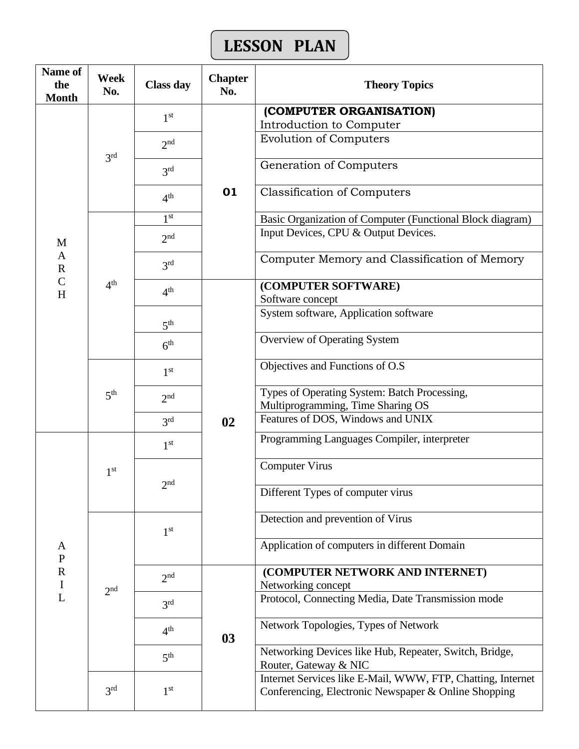# **LESSON PLAN**

| Name of<br>the<br><b>Month</b> | Week<br>No.     | <b>Class day</b> | <b>Chapter</b><br>No. | <b>Theory Topics</b>                                                                                                |
|--------------------------------|-----------------|------------------|-----------------------|---------------------------------------------------------------------------------------------------------------------|
|                                |                 | 1 <sup>st</sup>  |                       | (COMPUTER ORGANISATION)                                                                                             |
|                                |                 |                  |                       | Introduction to Computer                                                                                            |
|                                | 3 <sup>rd</sup> | 2 <sub>nd</sub>  | 01                    | <b>Evolution of Computers</b>                                                                                       |
|                                |                 | 3 <sup>rd</sup>  |                       | Generation of Computers                                                                                             |
|                                |                 | 4 <sup>th</sup>  |                       | <b>Classification of Computers</b>                                                                                  |
|                                |                 | 1 <sup>st</sup>  |                       | Basic Organization of Computer (Functional Block diagram)                                                           |
| M                              |                 | 2 <sub>nd</sub>  |                       | Input Devices, CPU & Output Devices.                                                                                |
| $\mathbf{A}$<br>$\mathbf R$    |                 | 3 <sup>rd</sup>  |                       | Computer Memory and Classification of Memory                                                                        |
| $\overline{C}$<br>H            | 4 <sup>th</sup> | 4 <sup>th</sup>  |                       | (COMPUTER SOFTWARE)                                                                                                 |
|                                |                 |                  |                       | Software concept                                                                                                    |
|                                |                 | 5 <sup>th</sup>  |                       | System software, Application software                                                                               |
|                                |                 | 6 <sup>th</sup>  |                       | <b>Overview of Operating System</b>                                                                                 |
|                                |                 | 1 <sup>st</sup>  |                       | Objectives and Functions of O.S                                                                                     |
|                                | 5 <sup>th</sup> | 2 <sub>nd</sub>  | 02                    | Types of Operating System: Batch Processing,<br>Multiprogramming, Time Sharing OS                                   |
|                                |                 | 3 <sup>rd</sup>  |                       | Features of DOS, Windows and UNIX                                                                                   |
|                                | 1 <sup>st</sup> | 1 <sup>st</sup>  |                       | Programming Languages Compiler, interpreter                                                                         |
|                                |                 | $\gamma$ nd      |                       | <b>Computer Virus</b>                                                                                               |
|                                |                 |                  |                       | Different Types of computer virus                                                                                   |
|                                |                 | 1 <sup>st</sup>  |                       | Detection and prevention of Virus                                                                                   |
| A<br>${\bf P}$                 |                 |                  |                       | Application of computers in different Domain                                                                        |
| $\mathbf R$<br>$\bf I$         |                 | 2 <sub>nd</sub>  |                       | (COMPUTER NETWORK AND INTERNET)<br>Networking concept                                                               |
| L                              | 2 <sup>nd</sup> | 3 <sup>rd</sup>  |                       | Protocol, Connecting Media, Date Transmission mode                                                                  |
|                                |                 | 4 <sup>th</sup>  | 03                    | Network Topologies, Types of Network                                                                                |
|                                |                 | 5 <sup>th</sup>  |                       | Networking Devices like Hub, Repeater, Switch, Bridge,<br>Router, Gateway & NIC                                     |
|                                | 3 <sup>rd</sup> | 1 <sup>st</sup>  |                       | Internet Services like E-Mail, WWW, FTP, Chatting, Internet<br>Conferencing, Electronic Newspaper & Online Shopping |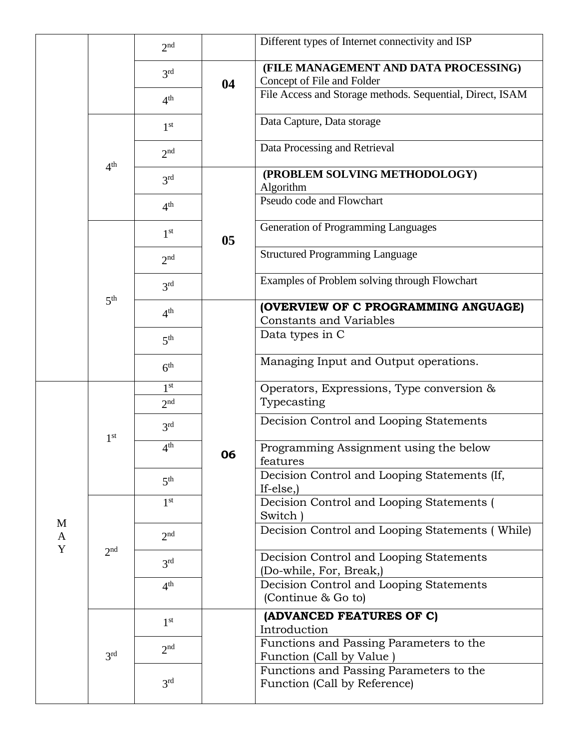|                   |                 | 2 <sub>nd</sub> |    | Different types of Internet connectivity and ISP                                    |
|-------------------|-----------------|-----------------|----|-------------------------------------------------------------------------------------|
|                   |                 | 3 <sup>rd</sup> | 04 | (FILE MANAGEMENT AND DATA PROCESSING)<br>Concept of File and Folder                 |
|                   |                 | 4 <sup>th</sup> |    | File Access and Storage methods. Sequential, Direct, ISAM                           |
|                   |                 | 1 <sup>st</sup> |    | Data Capture, Data storage                                                          |
|                   | 4 <sup>th</sup> | 2 <sup>nd</sup> |    | Data Processing and Retrieval                                                       |
|                   |                 | 3 <sup>rd</sup> |    | (PROBLEM SOLVING METHODOLOGY)<br>Algorithm                                          |
|                   |                 | 4 <sup>th</sup> |    | Pseudo code and Flowchart                                                           |
|                   | 5 <sup>th</sup> | 1 <sup>st</sup> | 05 | Generation of Programming Languages                                                 |
|                   |                 | 2 <sup>nd</sup> |    | <b>Structured Programming Language</b>                                              |
|                   |                 | 3 <sup>rd</sup> |    | Examples of Problem solving through Flowchart                                       |
|                   |                 | 4 <sup>th</sup> |    | (OVERVIEW OF C PROGRAMMING ANGUAGE)<br><b>Constants and Variables</b>               |
|                   |                 | 5 <sup>th</sup> |    | Data types in C                                                                     |
|                   |                 | 6 <sup>th</sup> |    | Managing Input and Output operations.                                               |
|                   | 1 <sup>st</sup> | 1 <sup>st</sup> |    | Operators, Expressions, Type conversion &                                           |
|                   |                 | 2 <sup>nd</sup> | 06 | Typecasting                                                                         |
|                   |                 | 3 <sup>rd</sup> |    | Decision Control and Looping Statements                                             |
|                   |                 | 4 <sup>th</sup> |    | Programming Assignment using the below<br>features                                  |
|                   |                 | 5 <sup>th</sup> |    | Decision Control and Looping Statements (If,<br>If-else, $)$                        |
|                   | 2 <sup>nd</sup> | 1 <sup>st</sup> |    | Decision Control and Looping Statements (<br>Switch)                                |
| M<br>$\mathbf{A}$ |                 | 2 <sub>nd</sub> |    | Decision Control and Looping Statements (While)                                     |
| Y                 |                 | 3 <sup>rd</sup> |    | Decision Control and Looping Statements<br>(Do-while, For, Break,)                  |
|                   |                 | 4 <sup>th</sup> |    | Decision Control and Looping Statements<br>(Continue & Go to)                       |
|                   | 3 <sup>rd</sup> | 1 <sup>st</sup> |    | (ADVANCED FEATURES OF C)                                                            |
|                   |                 | 2 <sub>nd</sub> |    | Introduction<br>Functions and Passing Parameters to the<br>Function (Call by Value) |
|                   |                 | 3 <sup>rd</sup> |    | Functions and Passing Parameters to the<br>Function (Call by Reference)             |